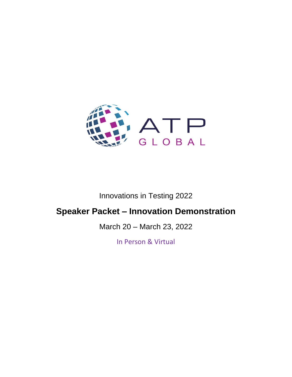

# Innovations in Testing 2022

# **Speaker Packet – Innovation Demonstration**

March 20 – March 23, 2022

In Person & Virtual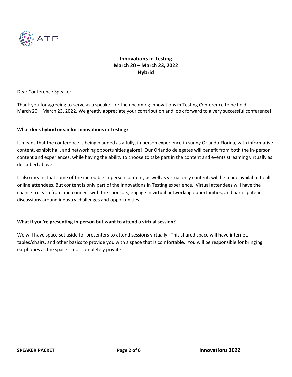

Dear Conference Speaker:

Thank you for agreeing to serve as a speaker for the upcoming Innovations in Testing Conference to be held March 20 – March 23, 2022. We greatly appreciate your contribution and look forward to a very successful conference!

#### **What does hybrid mean for Innovations in Testing?**

It means that the conference is being planned as a fully, in person experience in sunny Orlando Florida, with informative content, exhibit hall, and networking opportunities galore! Our Orlando delegates will benefit from both the in-person content and experiences, while having the ability to choose to take part in the content and events streaming virtually as described above.

It also means that some of the incredible in person content, as well as virtual only content, will be made available to all online attendees. But content is only part of the Innovations in Testing experience. Virtual attendees will have the chance to learn from and connect with the sponsors, engage in virtual networking opportunities, and participate in discussions around industry challenges and opportunities.

#### **What if you're presenting in-person but want to attend a virtual session?**

We will have space set aside for presenters to attend sessions virtually. This shared space will have internet, tables/chairs, and other basics to provide you with a space that is comfortable. You will be responsible for bringing earphones as the space is not completely private.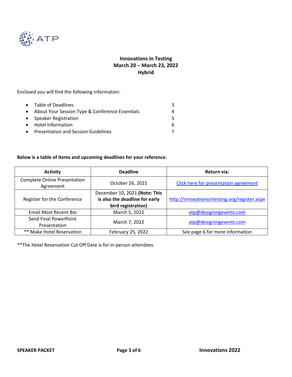

Enclosed you will find the following information:

| • Table of Deadlines                              |  |
|---------------------------------------------------|--|
| • About Your Session Type & Conference Essentials |  |
| • Speaker Registration                            |  |
| • Hotel Information                               |  |
| • Presentation and Session Guidelines             |  |

### **Below is a table of items and upcoming deadlines for your reference.**

| <b>Activity</b>                                  | <b>Deadline</b>                | Return via:                                   |
|--------------------------------------------------|--------------------------------|-----------------------------------------------|
| <b>Complete Online Presentation</b><br>Agreement | October 26, 2021               | Click here for presentation agreement         |
|                                                  | December 10, 2021 (Note: This  |                                               |
| Register for the Conference                      | is also the deadline for early | http://innovationsintesting.org/register.aspx |
|                                                  | bird registration)             |                                               |
| Email Most Recent Bio                            | March 5, 2022                  | atp@designingevents.com                       |
| Send Final PowerPoint<br>Presentation            | March 7, 2022                  | atp@designingevents.com                       |
| ** Make Hotel Reservation                        | February 25, 2022              | See page 6 for more information               |

\*\*The Hotel Reservation Cut Off Date is for in-person attendees.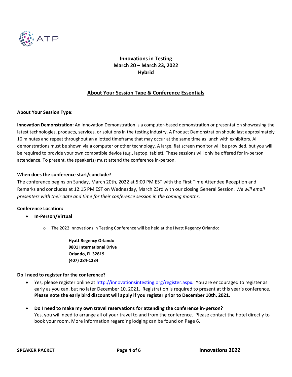

### **About Your Session Type & Conference Essentials**

#### **About Your Session Type:**

**Innovation Demonstration:** An Innovation Demonstration is a computer-based demonstration or presentation showcasing the latest technologies, products, services, or solutions in the testing industry. A Product Demonstration should last approximately 10 minutes and repeat throughout an allotted timeframe that may occur at the same time as lunch with exhibitors. All demonstrations must be shown via a computer or other technology. A large, flat screen monitor will be provided, but you will be required to provide your own compatible device (e.g., laptop, tablet). These sessions will only be offered for in-person attendance. To present, the speaker(s) must attend the conference in-person.

#### **When does the conference start/conclude?**

The conference begins on Sunday, March 20th, 2022 at 5:00 PM EST with the First Time Attendee Reception and Remarks and concludes at 12:15 PM EST on Wednesday, March 23rd with our closing General Session. *We will email presenters with their date and time for their conference session in the coming months.* 

#### **Conference Location:**

- **In-Person/Virtual**
	- o The 2022 Innovations in Testing Conference will be held at the Hyatt Regency Orlando:

**Hyatt Regency Orlando 9801 International Drive Orlando, FL 32819 (407) 284-1234**

#### **Do I need to register for the conference?**

- Yes, please register online at [http://innovationsintesting.org/register.aspx.](http://innovationsintesting.org/atp2022/register.aspx) You are encouraged to register as early as you can, but no later December 10, 2021. Registration is required to present at this year's conference. **Please note the early bird discount will apply if you register prior to December 10th, 2021.**
- **Do I need to make my own travel reservations for attending the conference in-person?** Yes, you will need to arrange all of your travel to and from the conference. Please contact the hotel directly to book your room. More information regarding lodging can be found on Page 6.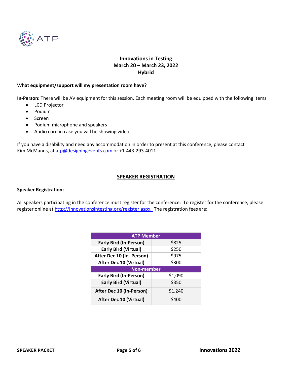

#### **What equipment/support will my presentation room have?**

**In-Person:** There will be AV equipment for this session. Each meeting room will be equipped with the following items:

- LCD Projector
- Podium
- Screen
- Podium microphone and speakers
- Audio cord in case you will be showing video

If you have a disability and need any accommodation in order to present at this conference, please contact Kim McManus, at [atp@designingevents.com](mailto:atp@designingevents.com) or +1-443-293-4011.

#### **SPEAKER REGISTRATION**

#### **Speaker Registration:**

All speakers participating in the conference must register for the conference. To register for the conference, please register online a[t http://innovationsintesting.org/register.aspx. T](http://innovationsintesting.org/atp2022/register.aspx)he registration fees are:

| <b>ATP Member</b>             |         |  |  |
|-------------------------------|---------|--|--|
| <b>Early Bird (In-Person)</b> | \$825   |  |  |
| <b>Early Bird (Virtual)</b>   | \$250   |  |  |
| After Dec 10 (In- Person)     | \$975   |  |  |
| <b>After Dec 10 (Virtual)</b> | \$300   |  |  |
| <b>Non-member</b>             |         |  |  |
| <b>Early Bird (In-Person)</b> | \$1,090 |  |  |
| <b>Early Bird (Virtual)</b>   | \$350   |  |  |
| After Dec 10 (In-Person)      | \$1,240 |  |  |
| <b>After Dec 10 (Virtual)</b> | \$400   |  |  |